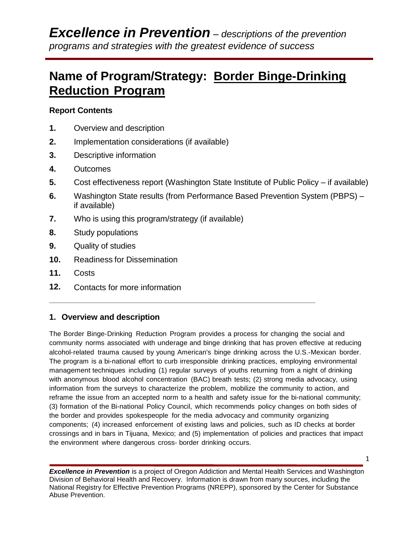# **Name of Program/Strategy: Border Binge-Drinking Reduction Program**

## **Report Contents**

- **1.** Overview and description
- **2.** Implementation considerations (if available)
- **3.** Descriptive information
- **4.** Outcomes
- **5.** Cost effectiveness report (Washington State Institute of Public Policy if available)
- **6.** Washington State results (from Performance Based Prevention System (PBPS) if available)
- **7.** Who is using this program/strategy (if available)
- **8.** Study populations
- **9.** Quality of studies
- **10.** Readiness for Dissemination
- **11.** Costs
- **12.** Contacts for more information

### **1. Overview and description**

The Border Binge-Drinking Reduction Program provides a process for changing the social and community norms associated with underage and binge drinking that has proven effective at reducing alcohol-related trauma caused by young American's binge drinking across the U.S.-Mexican border. The program is a bi-national effort to curb irresponsible drinking practices, employing environmental management techniques including (1) regular surveys of youths returning from a night of drinking with anonymous blood alcohol concentration (BAC) breath tests; (2) strong media advocacy, using information from the surveys to characterize the problem, mobilize the community to action, and reframe the issue from an accepted norm to a health and safety issue for the bi-national community; (3) formation of the Bi-national Policy Council, which recommends policy changes on both sides of the border and provides spokespeople for the media advocacy and community organizing components; (4) increased enforcement of existing laws and policies, such as ID checks at border crossings and in bars in Tijuana, Mexico; and (5) implementation of policies and practices that impact the environment where dangerous cross- border drinking occurs.

**\_\_\_\_\_\_\_\_\_\_\_\_\_\_\_\_\_\_\_\_\_\_\_\_\_\_\_\_\_\_\_\_\_\_\_\_\_\_\_\_\_\_\_\_\_\_\_\_\_\_\_\_\_\_\_\_\_\_\_\_\_\_\_\_\_\_\_\_\_\_**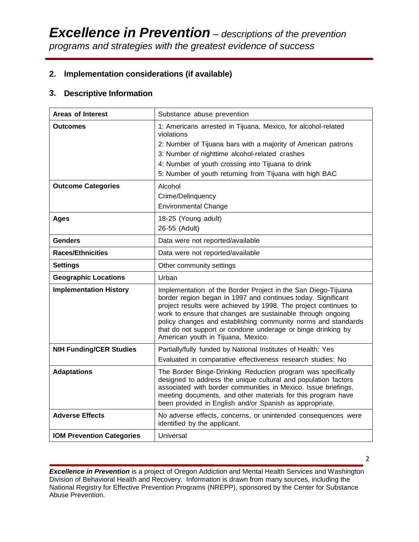## **2. Implementation considerations (if available)**

## **3. Descriptive Information**

| <b>Areas of Interest</b>         | Substance abuse prevention                                                                                                                                                                                                                                                                                                                                                                                                             |  |  |  |
|----------------------------------|----------------------------------------------------------------------------------------------------------------------------------------------------------------------------------------------------------------------------------------------------------------------------------------------------------------------------------------------------------------------------------------------------------------------------------------|--|--|--|
| <b>Outcomes</b>                  | 1: Americans arrested in Tijuana, Mexico, for alcohol-related<br>violations<br>2: Number of Tijuana bars with a majority of American patrons<br>3: Number of nighttime alcohol-related crashes<br>4: Number of youth crossing into Tijuana to drink<br>5: Number of youth returning from Tijuana with high BAC                                                                                                                         |  |  |  |
| <b>Outcome Categories</b>        | Alcohol<br>Crime/Delinquency<br><b>Environmental Change</b>                                                                                                                                                                                                                                                                                                                                                                            |  |  |  |
| <b>Ages</b>                      | 18-25 (Young adult)<br>26-55 (Adult)                                                                                                                                                                                                                                                                                                                                                                                                   |  |  |  |
| <b>Genders</b>                   | Data were not reported/available                                                                                                                                                                                                                                                                                                                                                                                                       |  |  |  |
| <b>Races/Ethnicities</b>         | Data were not reported/available                                                                                                                                                                                                                                                                                                                                                                                                       |  |  |  |
| <b>Settings</b>                  | Other community settings                                                                                                                                                                                                                                                                                                                                                                                                               |  |  |  |
| <b>Geographic Locations</b>      | Urban                                                                                                                                                                                                                                                                                                                                                                                                                                  |  |  |  |
| <b>Implementation History</b>    | Implementation of the Border Project in the San Diego-Tijuana<br>border region began in 1997 and continues today. Significant<br>project results were achieved by 1998. The project continues to<br>work to ensure that changes are sustainable through ongoing<br>policy changes and establishing community norms and standards<br>that do not support or condone underage or binge drinking by<br>American youth in Tijuana, Mexico. |  |  |  |
| <b>NIH Funding/CER Studies</b>   | Partially/fully funded by National Institutes of Health: Yes<br>Evaluated in comparative effectiveness research studies: No                                                                                                                                                                                                                                                                                                            |  |  |  |
| <b>Adaptations</b>               | The Border Binge-Drinking Reduction program was specifically<br>designed to address the unique cultural and population factors<br>associated with border communities in Mexico. Issue briefings,<br>meeting documents, and other materials for this program have<br>been provided in English and/or Spanish as appropriate.                                                                                                            |  |  |  |
| <b>Adverse Effects</b>           | No adverse effects, concerns, or unintended consequences were<br>identified by the applicant.                                                                                                                                                                                                                                                                                                                                          |  |  |  |
| <b>IOM Prevention Categories</b> | Universal                                                                                                                                                                                                                                                                                                                                                                                                                              |  |  |  |

*Excellence in Prevention* is a project of Oregon Addiction and Mental Health Services and Washington Division of Behavioral Health and Recovery. Information is drawn from many sources, including the National Registry for Effective Prevention Programs (NREPP), sponsored by the Center for Substance Abuse Prevention.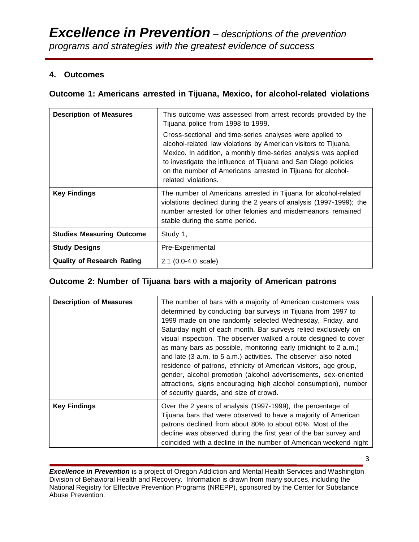## **4. Outcomes**

## **Outcome 1: Americans arrested in Tijuana, Mexico, for alcohol-related violations**

| <b>Description of Measures</b>    | This outcome was assessed from arrest records provided by the<br>Tijuana police from 1998 to 1999.                                                                                                                                                                                                                                                     |  |  |  |
|-----------------------------------|--------------------------------------------------------------------------------------------------------------------------------------------------------------------------------------------------------------------------------------------------------------------------------------------------------------------------------------------------------|--|--|--|
|                                   | Cross-sectional and time-series analyses were applied to<br>alcohol-related law violations by American visitors to Tijuana,<br>Mexico. In addition, a monthly time-series analysis was applied<br>to investigate the influence of Tijuana and San Diego policies<br>on the number of Americans arrested in Tijuana for alcohol-<br>related violations. |  |  |  |
| <b>Key Findings</b>               | The number of Americans arrested in Tijuana for alcohol-related<br>violations declined during the 2 years of analysis (1997-1999); the<br>number arrested for other felonies and misdemeanors remained<br>stable during the same period.                                                                                                               |  |  |  |
| <b>Studies Measuring Outcome</b>  | Study 1,                                                                                                                                                                                                                                                                                                                                               |  |  |  |
| <b>Study Designs</b>              | Pre-Experimental                                                                                                                                                                                                                                                                                                                                       |  |  |  |
| <b>Quality of Research Rating</b> | $2.1$ (0.0-4.0 scale)                                                                                                                                                                                                                                                                                                                                  |  |  |  |

## **Outcome 2: Number of Tijuana bars with a majority of American patrons**

| <b>Description of Measures</b> | The number of bars with a majority of American customers was<br>determined by conducting bar surveys in Tijuana from 1997 to<br>1999 made on one randomly selected Wednesday, Friday, and<br>Saturday night of each month. Bar surveys relied exclusively on<br>visual inspection. The observer walked a route designed to cover<br>as many bars as possible, monitoring early (midnight to 2 a.m.)<br>and late (3 a.m. to 5 a.m.) activities. The observer also noted<br>residence of patrons, ethnicity of American visitors, age group,<br>gender, alcohol promotion (alcohol advertisements, sex-oriented<br>attractions, signs encouraging high alcohol consumption), number<br>of security guards, and size of crowd. |
|--------------------------------|-----------------------------------------------------------------------------------------------------------------------------------------------------------------------------------------------------------------------------------------------------------------------------------------------------------------------------------------------------------------------------------------------------------------------------------------------------------------------------------------------------------------------------------------------------------------------------------------------------------------------------------------------------------------------------------------------------------------------------|
| <b>Key Findings</b>            | Over the 2 years of analysis (1997-1999), the percentage of<br>Tijuana bars that were observed to have a majority of American<br>patrons declined from about 80% to about 60%. Most of the<br>decline was observed during the first year of the bar survey and<br>coincided with a decline in the number of American weekend night                                                                                                                                                                                                                                                                                                                                                                                          |

*Excellence in Prevention* is a project of Oregon Addiction and Mental Health Services and Washington Division of Behavioral Health and Recovery. Information is drawn from many sources, including the National Registry for Effective Prevention Programs (NREPP), sponsored by the Center for Substance Abuse Prevention.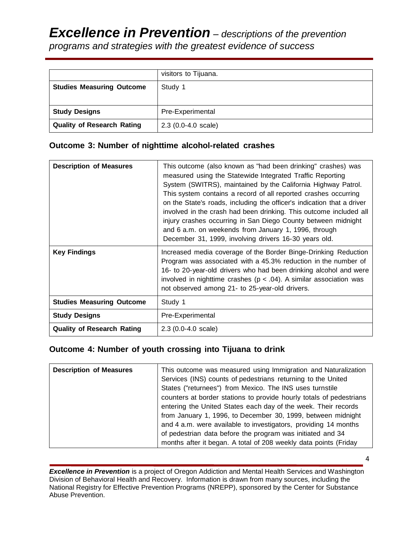# *Excellence in Prevention – descriptions of the prevention programs and strategies with the greatest evidence of success*

|                                   | visitors to Tijuana.  |
|-----------------------------------|-----------------------|
| <b>Studies Measuring Outcome</b>  | Study 1               |
|                                   |                       |
| <b>Study Designs</b>              | Pre-Experimental      |
| <b>Quality of Research Rating</b> | $2.3$ (0.0-4.0 scale) |

## **Outcome 3: Number of nighttime alcohol-related crashes**

| <b>Description of Measures</b>    | This outcome (also known as "had been drinking" crashes) was<br>measured using the Statewide Integrated Traffic Reporting<br>System (SWITRS), maintained by the California Highway Patrol.<br>This system contains a record of all reported crashes occurring<br>on the State's roads, including the officer's indication that a driver<br>involved in the crash had been drinking. This outcome included all<br>injury crashes occurring in San Diego County between midnight<br>and 6 a.m. on weekends from January 1, 1996, through<br>December 31, 1999, involving drivers 16-30 years old. |
|-----------------------------------|-------------------------------------------------------------------------------------------------------------------------------------------------------------------------------------------------------------------------------------------------------------------------------------------------------------------------------------------------------------------------------------------------------------------------------------------------------------------------------------------------------------------------------------------------------------------------------------------------|
| <b>Key Findings</b>               | Increased media coverage of the Border Binge-Drinking Reduction<br>Program was associated with a 45.3% reduction in the number of<br>16- to 20-year-old drivers who had been drinking alcohol and were<br>involved in nighttime crashes ( $p < .04$ ). A similar association was<br>not observed among 21- to 25-year-old drivers.                                                                                                                                                                                                                                                              |
| <b>Studies Measuring Outcome</b>  | Study 1                                                                                                                                                                                                                                                                                                                                                                                                                                                                                                                                                                                         |
| <b>Study Designs</b>              | Pre-Experimental                                                                                                                                                                                                                                                                                                                                                                                                                                                                                                                                                                                |
| <b>Quality of Research Rating</b> | $2.3(0.0-4.0 scale)$                                                                                                                                                                                                                                                                                                                                                                                                                                                                                                                                                                            |

## **Outcome 4: Number of youth crossing into Tijuana to drink**

| <b>Description of Measures</b> | This outcome was measured using Immigration and Naturalization<br>Services (INS) counts of pedestrians returning to the United<br>States ("returnees") from Mexico. The INS uses turnstile                                                                                                                                                                                                                 |
|--------------------------------|------------------------------------------------------------------------------------------------------------------------------------------------------------------------------------------------------------------------------------------------------------------------------------------------------------------------------------------------------------------------------------------------------------|
|                                | counters at border stations to provide hourly totals of pedestrians<br>entering the United States each day of the week. Their records<br>from January 1, 1996, to December 30, 1999, between midnight<br>and 4 a.m. were available to investigators, providing 14 months<br>of pedestrian data before the program was initiated and 34<br>months after it began. A total of 208 weekly data points (Friday |

*Excellence in Prevention* is a project of Oregon Addiction and Mental Health Services and Washington Division of Behavioral Health and Recovery. Information is drawn from many sources, including the National Registry for Effective Prevention Programs (NREPP), sponsored by the Center for Substance Abuse Prevention.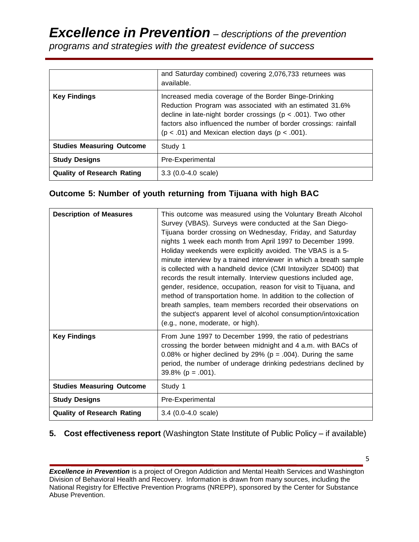# *Excellence in Prevention – descriptions of the prevention programs and strategies with the greatest evidence of success*

|                                   | and Saturday combined) covering 2,076,733 returnees was<br>available.                                                                                                                                                                                                                                             |  |  |  |
|-----------------------------------|-------------------------------------------------------------------------------------------------------------------------------------------------------------------------------------------------------------------------------------------------------------------------------------------------------------------|--|--|--|
| <b>Key Findings</b>               | Increased media coverage of the Border Binge-Drinking<br>Reduction Program was associated with an estimated 31.6%<br>decline in late-night border crossings ( $p < .001$ ). Two other<br>factors also influenced the number of border crossings: rainfall<br>$(p < .01)$ and Mexican election days $(p < .001)$ . |  |  |  |
| <b>Studies Measuring Outcome</b>  | Study 1                                                                                                                                                                                                                                                                                                           |  |  |  |
| <b>Study Designs</b>              | Pre-Experimental                                                                                                                                                                                                                                                                                                  |  |  |  |
| <b>Quality of Research Rating</b> | $3.3$ (0.0-4.0 scale)                                                                                                                                                                                                                                                                                             |  |  |  |

## **Outcome 5: Number of youth returning from Tijuana with high BAC**

| <b>Description of Measures</b>    | This outcome was measured using the Voluntary Breath Alcohol<br>Survey (VBAS). Surveys were conducted at the San Diego-<br>Tijuana border crossing on Wednesday, Friday, and Saturday<br>nights 1 week each month from April 1997 to December 1999.<br>Holiday weekends were explicitly avoided. The VBAS is a 5-<br>minute interview by a trained interviewer in which a breath sample<br>is collected with a handheld device (CMI Intoxilyzer SD400) that<br>records the result internally. Interview questions included age,<br>gender, residence, occupation, reason for visit to Tijuana, and<br>method of transportation home. In addition to the collection of<br>breath samples, team members recorded their observations on<br>the subject's apparent level of alcohol consumption/intoxication<br>(e.g., none, moderate, or high). |
|-----------------------------------|----------------------------------------------------------------------------------------------------------------------------------------------------------------------------------------------------------------------------------------------------------------------------------------------------------------------------------------------------------------------------------------------------------------------------------------------------------------------------------------------------------------------------------------------------------------------------------------------------------------------------------------------------------------------------------------------------------------------------------------------------------------------------------------------------------------------------------------------|
| <b>Key Findings</b>               | From June 1997 to December 1999, the ratio of pedestrians<br>crossing the border between midnight and 4 a.m. with BACs of<br>0.08% or higher declined by 29% ( $p = .004$ ). During the same<br>period, the number of underage drinking pedestrians declined by<br>$39.8\%$ (p = .001).                                                                                                                                                                                                                                                                                                                                                                                                                                                                                                                                                      |
| <b>Studies Measuring Outcome</b>  | Study 1                                                                                                                                                                                                                                                                                                                                                                                                                                                                                                                                                                                                                                                                                                                                                                                                                                      |
| <b>Study Designs</b>              | Pre-Experimental                                                                                                                                                                                                                                                                                                                                                                                                                                                                                                                                                                                                                                                                                                                                                                                                                             |
| <b>Quality of Research Rating</b> | $3.4$ (0.0-4.0 scale)                                                                                                                                                                                                                                                                                                                                                                                                                                                                                                                                                                                                                                                                                                                                                                                                                        |

## **5. Cost effectiveness report** (Washington State Institute of Public Policy – if available)

*Excellence in Prevention* is a project of Oregon Addiction and Mental Health Services and Washington Division of Behavioral Health and Recovery. Information is drawn from many sources, including the National Registry for Effective Prevention Programs (NREPP), sponsored by the Center for Substance Abuse Prevention.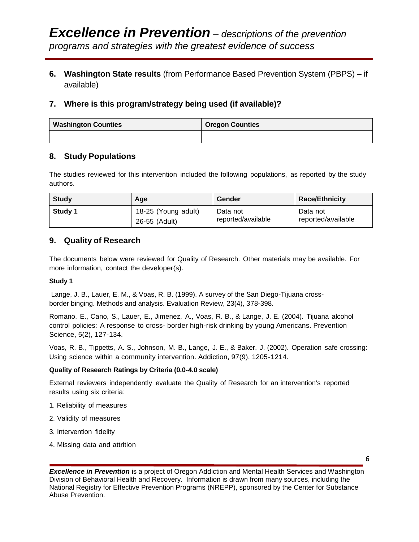**6. Washington State results** (from Performance Based Prevention System (PBPS) – if available)

## **7. Where is this program/strategy being used (if available)?**

| <b>Washington Counties</b> | <b>Oregon Counties</b> |  |
|----------------------------|------------------------|--|
|                            |                        |  |

## **8. Study Populations**

The studies reviewed for this intervention included the following populations, as reported by the study authors.

| Study   | Age                 | Gender             | <b>Race/Ethnicity</b> |
|---------|---------------------|--------------------|-----------------------|
| Study 1 | 18-25 (Young adult) | Data not           | Data not              |
|         | 26-55 (Adult)       | reported/available | reported/available    |

## **9. Quality of Research**

The documents below were reviewed for Quality of Research. Other materials may be available. For more information, contact the developer(s).

#### **Study 1**

Lange, J. B., Lauer, E. M., & Voas, R. B. (1999). A survey of the San Diego-Tijuana crossborder binging. Methods and analysis. Evaluation Review, 23(4), 378-398.

Romano, E., Cano, S., Lauer, E., Jimenez, A., Voas, R. B., & Lange, J. E. (2004). Tijuana alcohol control policies: A response to cross- border high-risk drinking by young Americans. Prevention Science, 5(2), 127-134.

Voas, R. B., Tippetts, A. S., Johnson, M. B., Lange, J. E., & Baker, J. (2002). Operation safe crossing: Using science within a community intervention. Addiction, 97(9), 1205-1214.

#### **Quality of Research Ratings by Criteria (0.0-4.0 scale)**

External reviewers independently evaluate the Quality of Research for an intervention's reported results using six criteria:

- 1. Reliability of measures
- 2. Validity of measures
- 3. Intervention fidelity
- 4. Missing data and attrition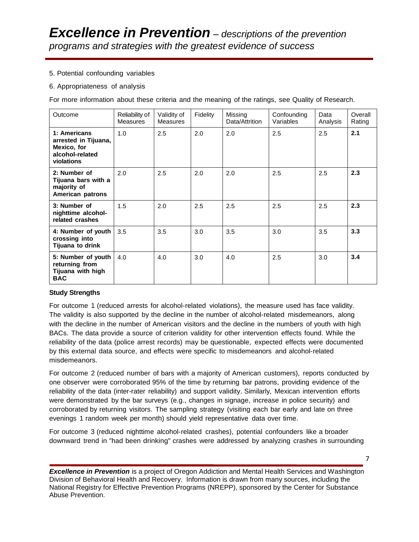#### 5. Potential confounding variables

#### 6. Appropriateness of analysis

For more information about these criteria and the meaning of the ratings, see Quality of Research.

| Outcome                                                                              | Reliability of<br><b>Measures</b> | Validity of<br><b>Measures</b> | Fidelity | Missing<br>Data/Attrition | Confounding<br>Variables | Data<br>Analysis | Overall<br>Rating |
|--------------------------------------------------------------------------------------|-----------------------------------|--------------------------------|----------|---------------------------|--------------------------|------------------|-------------------|
| 1: Americans<br>arrested in Tijuana,<br>Mexico, for<br>alcohol-related<br>violations | 1.0                               | 2.5                            | 2.0      | 2.0                       | 2.5                      | 2.5              | 2.1               |
| 2: Number of<br>Tijuana bars with a<br>majority of<br>American patrons               | 2.0                               | 2.5                            | 2.0      | 2.0                       | 2.5                      | 2.5              | 2.3               |
| 3: Number of<br>nighttime alcohol-<br>related crashes                                | 1.5                               | 2.0                            | 2.5      | 2.5                       | 2.5                      | 2.5              | 2.3               |
| 4: Number of youth<br>crossing into<br>Tijuana to drink                              | 3.5                               | 3.5                            | 3.0      | 3.5                       | 3.0                      | 3.5              | 3.3               |
| 5: Number of youth<br>returning from<br>Tijuana with high<br><b>BAC</b>              | 4.0                               | 4.0                            | 3.0      | 4.0                       | 2.5                      | 3.0              | 3.4               |

#### **Study Strengths**

For outcome 1 (reduced arrests for alcohol-related violations), the measure used has face validity. The validity is also supported by the decline in the number of alcohol-related misdemeanors, along with the decline in the number of American visitors and the decline in the numbers of youth with high BACs. The data provide a source of criterion validity for other intervention effects found. While the reliability of the data (police arrest records) may be questionable, expected effects were documented by this external data source, and effects were specific to misdemeanors and alcohol-related misdemeanors.

For outcome 2 (reduced number of bars with a majority of American customers), reports conducted by one observer were corroborated 95% of the time by returning bar patrons, providing evidence of the reliability of the data (inter-rater reliability) and support validity. Similarly, Mexican intervention efforts were demonstrated by the bar surveys (e.g., changes in signage, increase in police security) and corroborated by returning visitors. The sampling strategy (visiting each bar early and late on three evenings 1 random week per month) should yield representative data over time.

For outcome 3 (reduced nighttime alcohol-related crashes), potential confounders like a broader downward trend in "had been drinking" crashes were addressed by analyzing crashes in surrounding

*Excellence in Prevention* is a project of Oregon Addiction and Mental Health Services and Washington Division of Behavioral Health and Recovery. Information is drawn from many sources, including the National Registry for Effective Prevention Programs (NREPP), sponsored by the Center for Substance Abuse Prevention.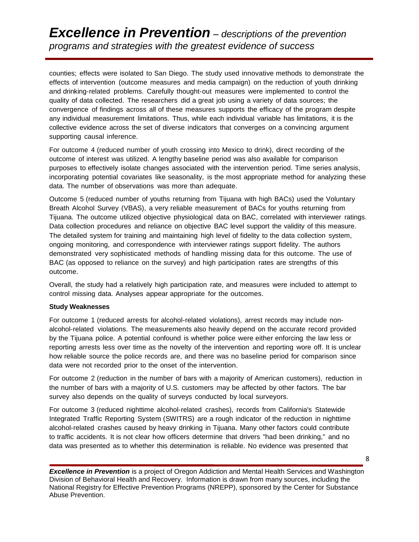# *Excellence in Prevention – descriptions of the prevention programs and strategies with the greatest evidence of success*

counties; effects were isolated to San Diego. The study used innovative methods to demonstrate the effects of intervention (outcome measures and media campaign) on the reduction of youth drinking and drinking-related problems. Carefully thought-out measures were implemented to control the quality of data collected. The researchers did a great job using a variety of data sources; the convergence of findings across all of these measures supports the efficacy of the program despite any individual measurement limitations. Thus, while each individual variable has limitations, it is the collective evidence across the set of diverse indicators that converges on a convincing argument supporting causal inference.

For outcome 4 (reduced number of youth crossing into Mexico to drink), direct recording of the outcome of interest was utilized. A lengthy baseline period was also available for comparison purposes to effectively isolate changes associated with the intervention period. Time series analysis, incorporating potential covariates like seasonality, is the most appropriate method for analyzing these data. The number of observations was more than adequate.

Outcome 5 (reduced number of youths returning from Tijuana with high BACs) used the Voluntary Breath Alcohol Survey (VBAS), a very reliable measurement of BACs for youths returning from Tijuana. The outcome utilized objective physiological data on BAC, correlated with interviewer ratings. Data collection procedures and reliance on objective BAC level support the validity of this measure. The detailed system for training and maintaining high level of fidelity to the data collection system, ongoing monitoring, and correspondence with interviewer ratings support fidelity. The authors demonstrated very sophisticated methods of handling missing data for this outcome. The use of BAC (as opposed to reliance on the survey) and high participation rates are strengths of this outcome.

Overall, the study had a relatively high participation rate, and measures were included to attempt to control missing data. Analyses appear appropriate for the outcomes.

#### **Study Weaknesses**

For outcome 1 (reduced arrests for alcohol-related violations), arrest records may include nonalcohol-related violations. The measurements also heavily depend on the accurate record provided by the Tijuana police. A potential confound is whether police were either enforcing the law less or reporting arrests less over time as the novelty of the intervention and reporting wore off. It is unclear how reliable source the police records are, and there was no baseline period for comparison since data were not recorded prior to the onset of the intervention.

For outcome 2 (reduction in the number of bars with a majority of American customers), reduction in the number of bars with a majority of U.S. customers may be affected by other factors. The bar survey also depends on the quality of surveys conducted by local surveyors.

For outcome 3 (reduced nighttime alcohol-related crashes), records from California's Statewide Integrated Traffic Reporting System (SWITRS) are a rough indicator of the reduction in nighttime alcohol-related crashes caused by heavy drinking in Tijuana. Many other factors could contribute to traffic accidents. It is not clear how officers determine that drivers "had been drinking," and no data was presented as to whether this determination is reliable. No evidence was presented that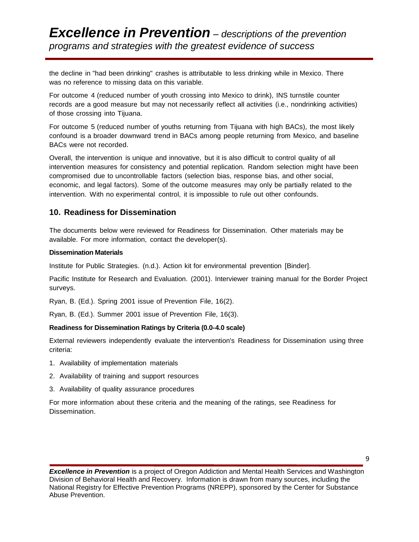the decline in "had been drinking" crashes is attributable to less drinking while in Mexico. There was no reference to missing data on this variable.

For outcome 4 (reduced number of youth crossing into Mexico to drink), INS turnstile counter records are a good measure but may not necessarily reflect all activities (i.e., nondrinking activities) of those crossing into Tijuana.

For outcome 5 (reduced number of youths returning from Tijuana with high BACs), the most likely confound is a broader downward trend in BACs among people returning from Mexico, and baseline BACs were not recorded.

Overall, the intervention is unique and innovative, but it is also difficult to control quality of all intervention measures for consistency and potential replication. Random selection might have been compromised due to uncontrollable factors (selection bias, response bias, and other social, economic, and legal factors). Some of the outcome measures may only be partially related to the intervention. With no experimental control, it is impossible to rule out other confounds.

### **10. Readiness for Dissemination**

The documents below were reviewed for Readiness for Dissemination. Other materials may be available. For more information, contact the developer(s).

#### **Dissemination Materials**

Institute for Public Strategies. (n.d.). Action kit for environmental prevention [Binder].

Pacific Institute for Research and Evaluation. (2001). Interviewer training manual for the Border Project surveys.

Ryan, B. (Ed.). Spring 2001 issue of Prevention File, 16(2).

Ryan, B. (Ed.). Summer 2001 issue of Prevention File, 16(3).

#### **Readiness for Dissemination Ratings by Criteria (0.0-4.0 scale)**

External reviewers independently evaluate the intervention's Readiness for Dissemination using three criteria:

- 1. Availability of implementation materials
- 2. Availability of training and support resources
- 3. Availability of quality assurance procedures

For more information about these criteria and the meaning of the ratings, see Readiness for Dissemination.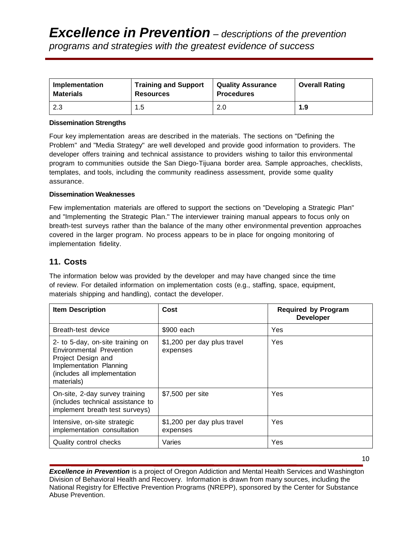| Implementation   | <b>Training and Support</b> | <b>Quality Assurance</b> | <b>Overall Rating</b> |
|------------------|-----------------------------|--------------------------|-----------------------|
| <b>Materials</b> | <b>Resources</b>            | <b>Procedures</b>        |                       |
| 2.3              | 1.5                         | 2.0                      | 1.9                   |

#### **Dissemination Strengths**

Four key implementation areas are described in the materials. The sections on "Defining the Problem" and "Media Strategy" are well developed and provide good information to providers. The developer offers training and technical assistance to providers wishing to tailor this environmental program to communities outside the San Diego-Tijuana border area. Sample approaches, checklists, templates, and tools, including the community readiness assessment, provide some quality assurance.

#### **Dissemination Weaknesses**

Few implementation materials are offered to support the sections on "Developing a Strategic Plan" and "Implementing the Strategic Plan." The interviewer training manual appears to focus only on breath-test surveys rather than the balance of the many other environmental prevention approaches covered in the larger program. No process appears to be in place for ongoing monitoring of implementation fidelity.

#### **11. Costs**

The information below was provided by the developer and may have changed since the time of review. For detailed information on implementation costs (e.g., staffing, space, equipment, materials shipping and handling), contact the developer.

| <b>Item Description</b>                                                                                                                                     | Cost                                    | <b>Required by Program</b><br><b>Developer</b> |
|-------------------------------------------------------------------------------------------------------------------------------------------------------------|-----------------------------------------|------------------------------------------------|
| Breath-test device                                                                                                                                          | \$900 each                              | Yes                                            |
| 2- to 5-day, on-site training on<br>Environmental Prevention<br>Project Design and<br>Implementation Planning<br>(includes all implementation<br>materials) | \$1,200 per day plus travel<br>expenses | Yes                                            |
| On-site, 2-day survey training<br>(includes technical assistance to<br>implement breath test surveys)                                                       | \$7,500 per site                        | Yes                                            |
| Intensive, on-site strategic<br>implementation consultation                                                                                                 | \$1,200 per day plus travel<br>expenses | Yes                                            |
| Quality control checks                                                                                                                                      | Varies                                  | Yes                                            |